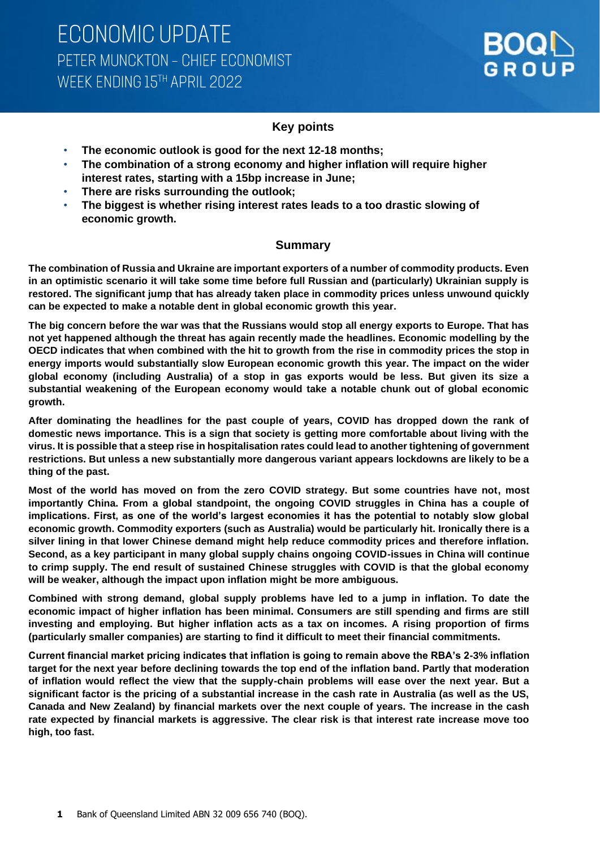

## **Key points**

- **The economic outlook is good for the next 12-18 months;**
- **The combination of a strong economy and higher inflation will require higher interest rates, starting with a 15bp increase in June;**
- **There are risks surrounding the outlook;**
- **The biggest is whether rising interest rates leads to a too drastic slowing of economic growth.**

## **Summary**

**The combination of Russia and Ukraine are important exporters of a number of commodity products. Even in an optimistic scenario it will take some time before full Russian and (particularly) Ukrainian supply is restored. The significant jump that has already taken place in commodity prices unless unwound quickly can be expected to make a notable dent in global economic growth this year.** 

**The big concern before the war was that the Russians would stop all energy exports to Europe. That has not yet happened although the threat has again recently made the headlines. Economic modelling by the OECD indicates that when combined with the hit to growth from the rise in commodity prices the stop in energy imports would substantially slow European economic growth this year. The impact on the wider global economy (including Australia) of a stop in gas exports would be less. But given its size a substantial weakening of the European economy would take a notable chunk out of global economic growth.** 

**After dominating the headlines for the past couple of years, COVID has dropped down the rank of domestic news importance. This is a sign that society is getting more comfortable about living with the virus. It is possible that a steep rise in hospitalisation rates could lead to another tightening of government restrictions. But unless a new substantially more dangerous variant appears lockdowns are likely to be a thing of the past.** 

**Most of the world has moved on from the zero COVID strategy. But some countries have not, most importantly China. From a global standpoint, the ongoing COVID struggles in China has a couple of implications. First, as one of the world's largest economies it has the potential to notably slow global economic growth. Commodity exporters (such as Australia) would be particularly hit. Ironically there is a silver lining in that lower Chinese demand might help reduce commodity prices and therefore inflation. Second, as a key participant in many global supply chains ongoing COVID-issues in China will continue to crimp supply. The end result of sustained Chinese struggles with COVID is that the global economy will be weaker, although the impact upon inflation might be more ambiguous.**

**Combined with strong demand, global supply problems have led to a jump in inflation. To date the economic impact of higher inflation has been minimal. Consumers are still spending and firms are still investing and employing. But higher inflation acts as a tax on incomes. A rising proportion of firms (particularly smaller companies) are starting to find it difficult to meet their financial commitments.** 

**Current financial market pricing indicates that inflation is going to remain above the RBA's 2-3% inflation target for the next year before declining towards the top end of the inflation band. Partly that moderation of inflation would reflect the view that the supply-chain problems will ease over the next year. But a significant factor is the pricing of a substantial increase in the cash rate in Australia (as well as the US, Canada and New Zealand) by financial markets over the next couple of years. The increase in the cash rate expected by financial markets is aggressive. The clear risk is that interest rate increase move too high, too fast.**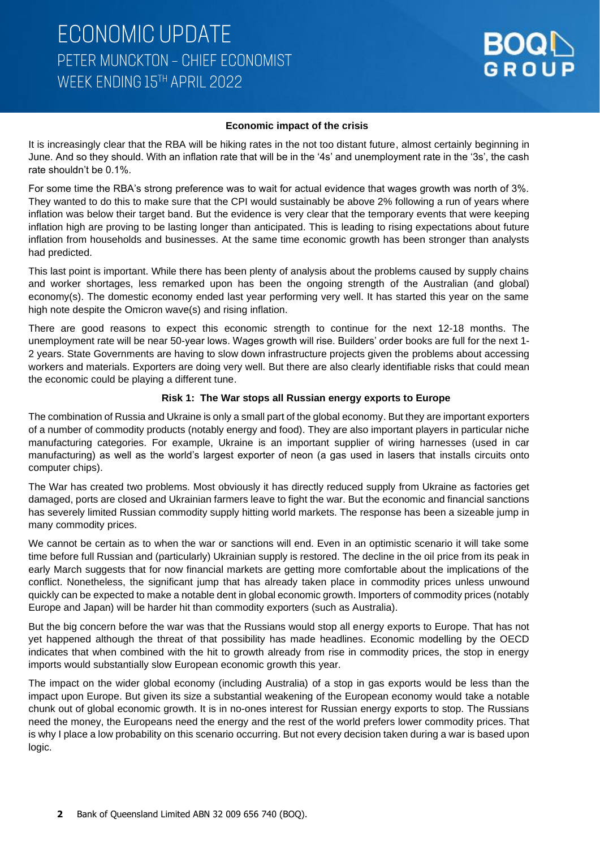### **Economic impact of the crisis**

It is increasingly clear that the RBA will be hiking rates in the not too distant future, almost certainly beginning in June. And so they should. With an inflation rate that will be in the '4s' and unemployment rate in the '3s', the cash rate shouldn't be 0.1%.

For some time the RBA's strong preference was to wait for actual evidence that wages growth was north of 3%. They wanted to do this to make sure that the CPI would sustainably be above 2% following a run of years where inflation was below their target band. But the evidence is very clear that the temporary events that were keeping inflation high are proving to be lasting longer than anticipated. This is leading to rising expectations about future inflation from households and businesses. At the same time economic growth has been stronger than analysts had predicted.

This last point is important. While there has been plenty of analysis about the problems caused by supply chains and worker shortages, less remarked upon has been the ongoing strength of the Australian (and global) economy(s). The domestic economy ended last year performing very well. It has started this year on the same high note despite the Omicron wave(s) and rising inflation.

There are good reasons to expect this economic strength to continue for the next 12-18 months. The unemployment rate will be near 50-year lows. Wages growth will rise. Builders' order books are full for the next 1- 2 years. State Governments are having to slow down infrastructure projects given the problems about accessing workers and materials. Exporters are doing very well. But there are also clearly identifiable risks that could mean the economic could be playing a different tune.

### **Risk 1: The War stops all Russian energy exports to Europe**

The combination of Russia and Ukraine is only a small part of the global economy. But they are important exporters of a number of commodity products (notably energy and food). They are also important players in particular niche manufacturing categories. For example, Ukraine is an important supplier of wiring harnesses (used in car manufacturing) as well as the world's largest exporter of neon (a gas used in lasers that installs circuits onto computer chips).

The War has created two problems. Most obviously it has directly reduced supply from Ukraine as factories get damaged, ports are closed and Ukrainian farmers leave to fight the war. But the economic and financial sanctions has severely limited Russian commodity supply hitting world markets. The response has been a sizeable jump in many commodity prices.

We cannot be certain as to when the war or sanctions will end. Even in an optimistic scenario it will take some time before full Russian and (particularly) Ukrainian supply is restored. The decline in the oil price from its peak in early March suggests that for now financial markets are getting more comfortable about the implications of the conflict. Nonetheless, the significant jump that has already taken place in commodity prices unless unwound quickly can be expected to make a notable dent in global economic growth. Importers of commodity prices (notably Europe and Japan) will be harder hit than commodity exporters (such as Australia).

But the big concern before the war was that the Russians would stop all energy exports to Europe. That has not yet happened although the threat of that possibility has made headlines. Economic modelling by the OECD indicates that when combined with the hit to growth already from rise in commodity prices, the stop in energy imports would substantially slow European economic growth this year.

The impact on the wider global economy (including Australia) of a stop in gas exports would be less than the impact upon Europe. But given its size a substantial weakening of the European economy would take a notable chunk out of global economic growth. It is in no-ones interest for Russian energy exports to stop. The Russians need the money, the Europeans need the energy and the rest of the world prefers lower commodity prices. That is why I place a low probability on this scenario occurring. But not every decision taken during a war is based upon logic.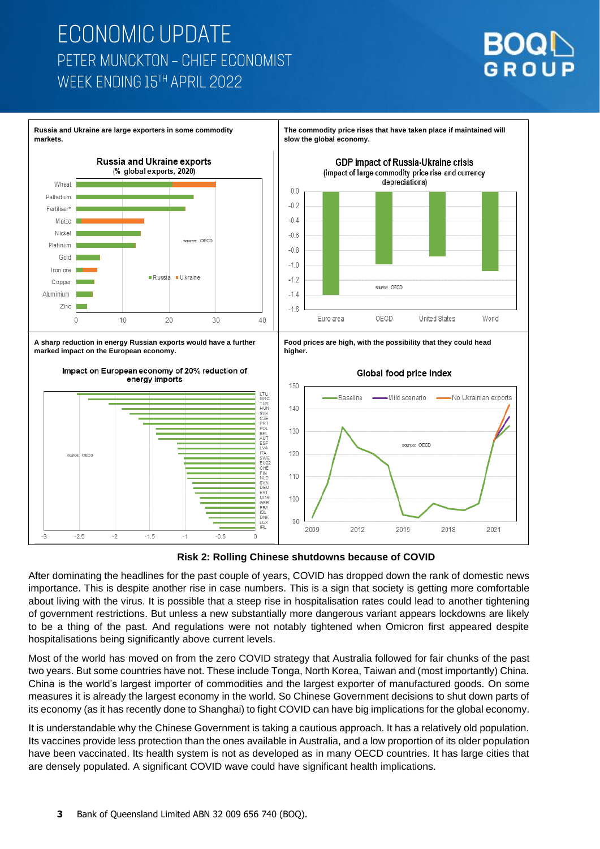





After dominating the headlines for the past couple of years, COVID has dropped down the rank of domestic news importance. This is despite another rise in case numbers. This is a sign that society is getting more comfortable about living with the virus. It is possible that a steep rise in hospitalisation rates could lead to another tightening of government restrictions. But unless a new substantially more dangerous variant appears lockdowns are likely to be a thing of the past. And regulations were not notably tightened when Omicron first appeared despite hospitalisations being significantly above current levels.

Most of the world has moved on from the zero COVID strategy that Australia followed for fair chunks of the past two years. But some countries have not. These include Tonga, North Korea, Taiwan and (most importantly) China. China is the world's largest importer of commodities and the largest exporter of manufactured goods. On some measures it is already the largest economy in the world. So Chinese Government decisions to shut down parts of its economy (as it has recently done to Shanghai) to fight COVID can have big implications for the global economy.

It is understandable why the Chinese Government is taking a cautious approach. It has a relatively old population. Its vaccines provide less protection than the ones available in Australia, and a low proportion of its older population have been vaccinated. Its health system is not as developed as in many OECD countries. It has large cities that are densely populated. A significant COVID wave could have significant health implications.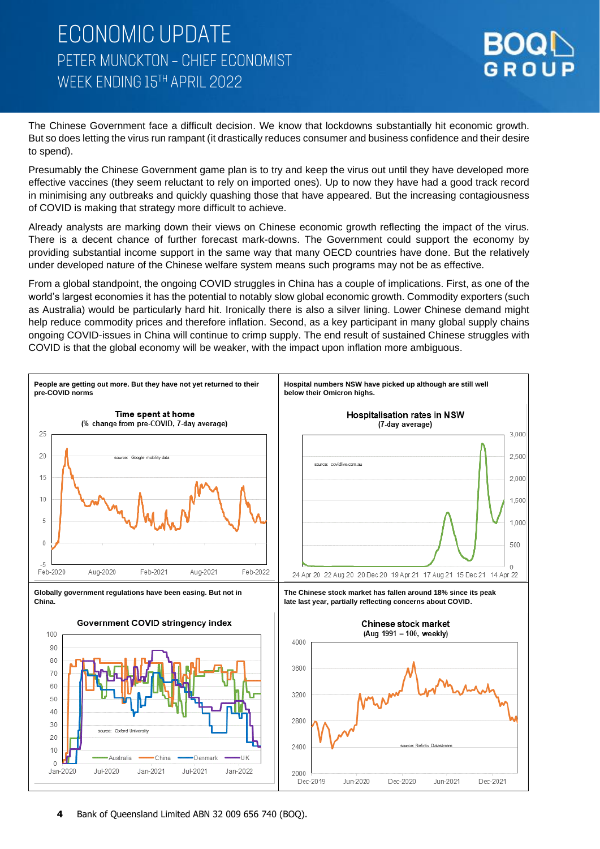

The Chinese Government face a difficult decision. We know that lockdowns substantially hit economic growth. But so does letting the virus run rampant (it drastically reduces consumer and business confidence and their desire to spend).

Presumably the Chinese Government game plan is to try and keep the virus out until they have developed more effective vaccines (they seem reluctant to rely on imported ones). Up to now they have had a good track record in minimising any outbreaks and quickly quashing those that have appeared. But the increasing contagiousness of COVID is making that strategy more difficult to achieve.

Already analysts are marking down their views on Chinese economic growth reflecting the impact of the virus. There is a decent chance of further forecast mark-downs. The Government could support the economy by providing substantial income support in the same way that many OECD countries have done. But the relatively under developed nature of the Chinese welfare system means such programs may not be as effective.

From a global standpoint, the ongoing COVID struggles in China has a couple of implications. First, as one of the world's largest economies it has the potential to notably slow global economic growth. Commodity exporters (such as Australia) would be particularly hard hit. Ironically there is also a silver lining. Lower Chinese demand might help reduce commodity prices and therefore inflation. Second, as a key participant in many global supply chains ongoing COVID-issues in China will continue to crimp supply. The end result of sustained Chinese struggles with COVID is that the global economy will be weaker, with the impact upon inflation more ambiguous.

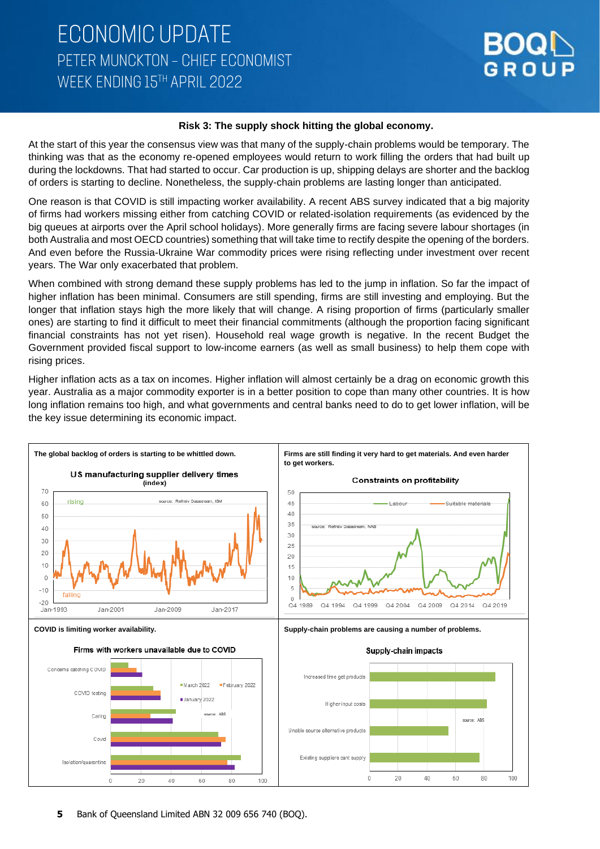### **Risk 3: The supply shock hitting the global economy.**

At the start of this year the consensus view was that many of the supply-chain problems would be temporary. The thinking was that as the economy re-opened employees would return to work filling the orders that had built up during the lockdowns. That had started to occur. Car production is up, shipping delays are shorter and the backlog of orders is starting to decline. Nonetheless, the supply-chain problems are lasting longer than anticipated.

One reason is that COVID is still impacting worker availability. A recent ABS survey indicated that a big majority of firms had workers missing either from catching COVID or related-isolation requirements (as evidenced by the big queues at airports over the April school holidays). More generally firms are facing severe labour shortages (in both Australia and most OECD countries) something that will take time to rectify despite the opening of the borders. And even before the Russia-Ukraine War commodity prices were rising reflecting under investment over recent years. The War only exacerbated that problem.

When combined with strong demand these supply problems has led to the jump in inflation. So far the impact of higher inflation has been minimal. Consumers are still spending, firms are still investing and employing. But the longer that inflation stays high the more likely that will change. A rising proportion of firms (particularly smaller ones) are starting to find it difficult to meet their financial commitments (although the proportion facing significant financial constraints has not yet risen). Household real wage growth is negative. In the recent Budget the Government provided fiscal support to low-income earners (as well as small business) to help them cope with rising prices.

Higher inflation acts as a tax on incomes. Higher inflation will almost certainly be a drag on economic growth this year. Australia as a major commodity exporter is in a better position to cope than many other countries. It is how long inflation remains too high, and what governments and central banks need to do to get lower inflation, will be the key issue determining its economic impact.

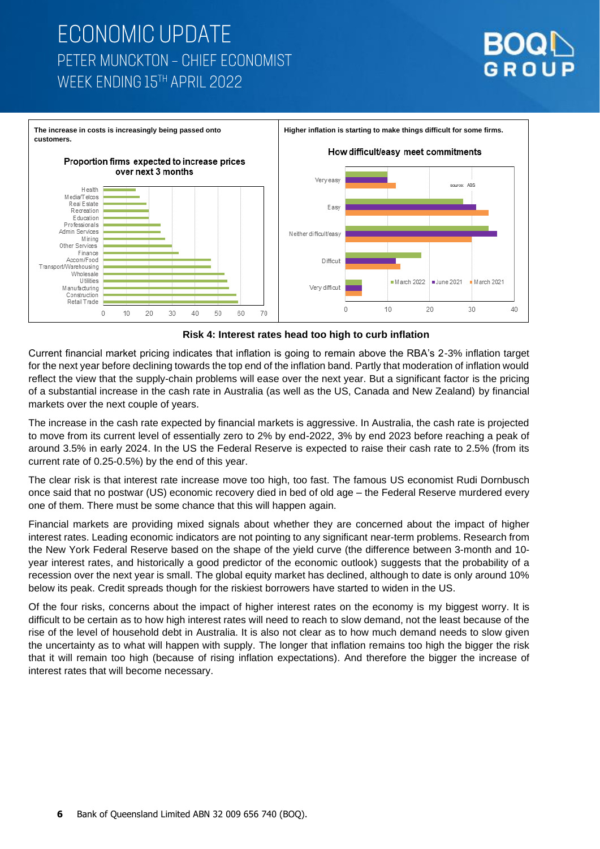



### **Risk 4: Interest rates head too high to curb inflation**

Current financial market pricing indicates that inflation is going to remain above the RBA's 2-3% inflation target for the next year before declining towards the top end of the inflation band. Partly that moderation of inflation would reflect the view that the supply-chain problems will ease over the next year. But a significant factor is the pricing of a substantial increase in the cash rate in Australia (as well as the US, Canada and New Zealand) by financial markets over the next couple of years.

The increase in the cash rate expected by financial markets is aggressive. In Australia, the cash rate is projected to move from its current level of essentially zero to 2% by end-2022, 3% by end 2023 before reaching a peak of around 3.5% in early 2024. In the US the Federal Reserve is expected to raise their cash rate to 2.5% (from its current rate of 0.25-0.5%) by the end of this year.

The clear risk is that interest rate increase move too high, too fast. The famous US economist Rudi Dornbusch once said that no postwar (US) economic recovery died in bed of old age – the Federal Reserve murdered every one of them. There must be some chance that this will happen again.

Financial markets are providing mixed signals about whether they are concerned about the impact of higher interest rates. Leading economic indicators are not pointing to any significant near-term problems. Research from the New York Federal Reserve based on the shape of the yield curve (the difference between 3-month and 10 year interest rates, and historically a good predictor of the economic outlook) suggests that the probability of a recession over the next year is small. The global equity market has declined, although to date is only around 10% below its peak. Credit spreads though for the riskiest borrowers have started to widen in the US.

Of the four risks, concerns about the impact of higher interest rates on the economy is my biggest worry. It is difficult to be certain as to how high interest rates will need to reach to slow demand, not the least because of the rise of the level of household debt in Australia. It is also not clear as to how much demand needs to slow given the uncertainty as to what will happen with supply. The longer that inflation remains too high the bigger the risk that it will remain too high (because of rising inflation expectations). And therefore the bigger the increase of interest rates that will become necessary.